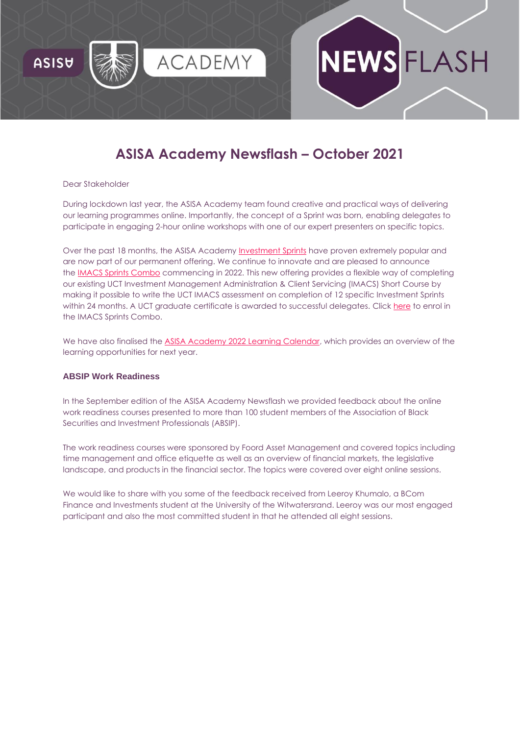

# **ASISA Academy Newsflash – October 2021**

FLASH

#### Dear Stakeholder

During lockdown last year, the ASISA Academy team found creative and practical ways of delivering our learning programmes online. Importantly, the concept of a Sprint was born, enabling delegates to participate in engaging 2-hour online workshops with one of our expert presenters on specific topics.

Over the past 18 months, the ASISA Academy [Investment Sprints](https://asisaacademy.createsend1.com/t/r-l-trtyllht-l-r/) have proven extremely popular and are now part of our permanent offering. We continue to innovate and are pleased to announce the [IMACS Sprints Combo](https://asisaacademy.createsend1.com/t/r-l-trtyllht-l-y/) commencing in 2022. This new offering provides a flexible way of completing our existing UCT Investment Management Administration & Client Servicing (IMACS) Short Course by making it possible to write the UCT IMACS assessment on completion of 12 specific Investment Sprints within 24 months. A UCT graduate certificate is awarded to successful delegates. Click [here](https://asisaacademy.createsend1.com/t/r-l-trtyllht-l-j/) to enrol in the IMACS Sprints Combo.

We have also finalised the [ASISA Academy 2022 Learning Calendar,](https://asisaacademy.createsend1.com/t/r-l-trtyllht-l-t/) which provides an overview of the learning opportunities for next year.

## **ABSIP Work Readiness**

In the September edition of the ASISA Academy Newsflash we provided feedback about the online work readiness courses presented to more than 100 student members of the Association of Black Securities and Investment Professionals (ABSIP).

The work readiness courses were sponsored by Foord Asset Management and covered topics including time management and office etiquette as well as an overview of financial markets, the legislative landscape, and products in the financial sector. The topics were covered over eight online sessions.

We would like to share with you some of the feedback received from Leeroy Khumalo, a BCom Finance and Investments student at the University of the Witwatersrand. Leeroy was our most engaged participant and also the most committed student in that he attended all eight sessions.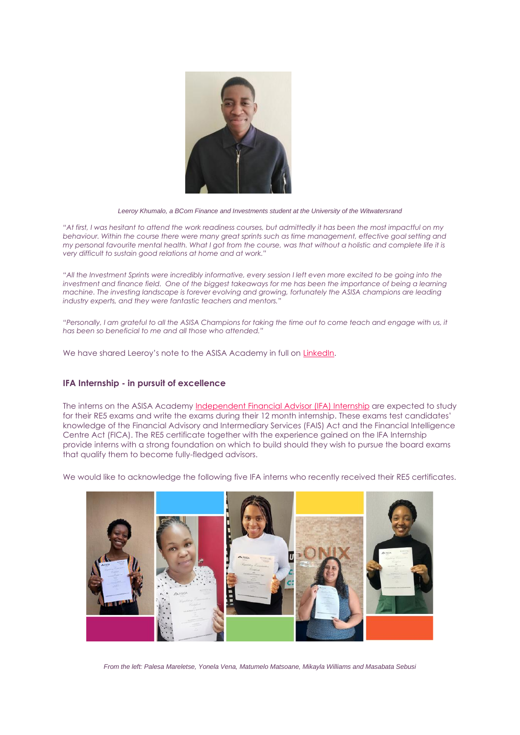

*Leeroy Khumalo, a BCom Finance and Investments student at the University of the Witwatersrand*

*"At first, I was hesitant to attend the work readiness courses, but admittedly it has been the most impactful on my behaviour. Within the course there were many great sprints such as time management, effective goal setting and my personal favourite mental health. What I got from the course, was that without a holistic and complete life it is very difficult to sustain good relations at home and at work."*

*"All the Investment Sprints were incredibly informative, every session I left even more excited to be going into the investment and finance field. One of the biggest takeaways for me has been the importance of being a learning machine. The investing landscape is forever evolving and growing, fortunately the ASISA champions are leading industry experts, and they were fantastic teachers and mentors."*

*"Personally, I am grateful to all the ASISA Champions for taking the time out to come teach and engage with us, it has been so beneficial to me and all those who attended."*

We have shared Leeroy's note to the ASISA Academy in full on [LinkedIn.](https://asisaacademy.createsend1.com/t/r-l-trtyllht-l-i/)

## **IFA Internship - in pursuit of excellence**

The interns on the ASISA Academy [Independent Financial Advisor \(IFA\) Internship](https://asisaacademy.createsend1.com/t/r-l-trtyllht-l-d/) are expected to study for their RE5 exams and write the exams during their 12 month internship. These exams test candidates' knowledge of the Financial Advisory and Intermediary Services (FAIS) Act and the Financial Intelligence Centre Act (FICA). The RE5 certificate together with the experience gained on the IFA Internship provide interns with a strong foundation on which to build should they wish to pursue the board exams that qualify them to become fully-fledged advisors.

We would like to acknowledge the following five IFA interns who recently received their RE5 certificates.



*From the left: Palesa Mareletse, Yonela Vena, Matumelo Matsoane, Mikayla Williams and Masabata Sebusi*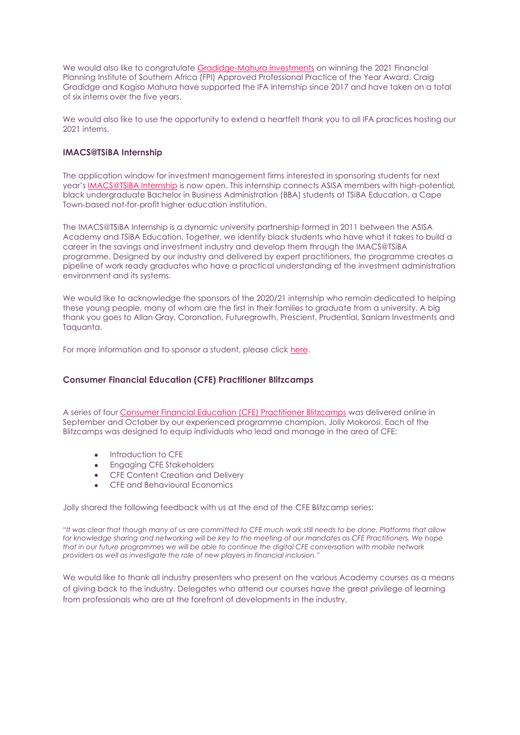We would also like to congratulate [Gradidge-Mahura Investments](https://asisaacademy.createsend1.com/t/r-l-trtyllht-l-h/) on winning the 2021 Financial Planning Institute of Southern Africa (FPI) Approved Professional Practice of the Year Award. Craig Gradidge and Kagiso Mahura have supported the IFA Internship since 2017 and have taken on a total of six interns over the five years.

We would also like to use the opportunity to extend a heartfelt thank you to all IFA practices hosting our 2021 interns.

# **IMACS@TSiBA Internship**

The application window for investment management firms interested in sponsoring students for next year's **[IMACS@TSiBA Internship](https://asisaacademy.createsend1.com/t/r-l-trtyllht-l-k/)** is now open. This internship connects ASISA members with high-potential, black undergraduate Bachelor in Business Administration (BBA) students at TSiBA Education, a Cape Town-based not-for-profit higher education institution.

The IMACS@TSiBA Internship is a dynamic university partnership formed in 2011 between the ASISA Academy and TSiBA Education. Together, we identify black students who have what it takes to build a career in the savings and investment industry and develop them through the IMACS@TSiBA programme. Designed by our industry and delivered by expert practitioners, the programme creates a pipeline of work ready graduates who have a practical understanding of the investment administration environment and its systems.

We would like to acknowledge the sponsors of the 2020/21 internship who remain dedicated to helping these young people, many of whom are the first in their families to graduate from a university. A big thank you goes to Allan Gray, Coronation, Futuregrowth, Prescient, Prudential, Sanlam Investments and Taquanta.

For more information and to sponsor a student, please click [here.](https://asisaacademy.createsend1.com/t/r-l-trtyllht-l-u/)

## **Consumer Financial Education (CFE) Practitioner Blitzcamps**

A series of four [Consumer Financial Education \(CFE\) Practitioner Blitzcamps](https://asisaacademy.createsend1.com/t/r-l-trtyllht-l-b/) was delivered online in September and October by our experienced programme champion, Jolly Mokorosi. Each of the Blitzcamps was designed to equip individuals who lead and manage in the area of CFE:

- Introduction to CFE
- Engaging CFE Stakeholders
- **CFE Content Creation and Delivery**
- CFE and Behavioural Economics

Jolly shared the following feedback with us at the end of the CFE Blitzcamp series:

*"It was clear that though many of us are committed to CFE much work still needs to be done. Platforms that allow*  for knowledge sharing and networking will be key to the meeting of our mandates as CFE Practitioners. We hope *that in our future programmes we will be able to continue the digital CFE conversation with mobile network providers as well as investigate the role of new players in financial inclusion."*

We would like to thank all industry presenters who present on the various Academy courses as a means of giving back to the industry. Delegates who attend our courses have the great privilege of learning from professionals who are at the forefront of developments in the industry.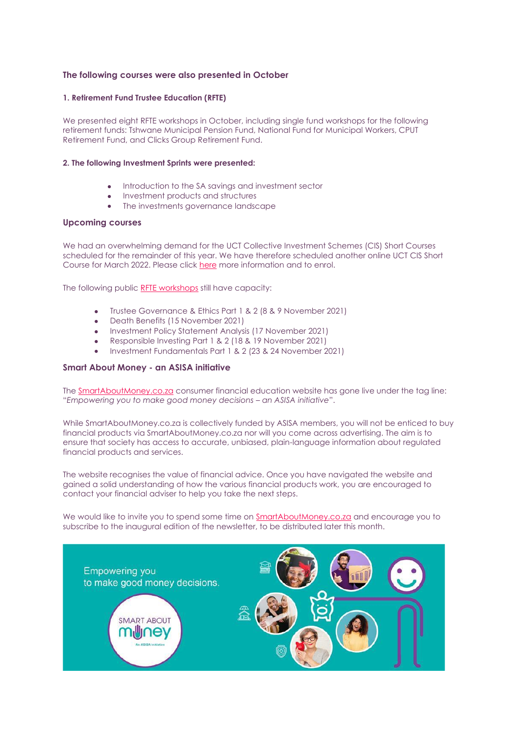## **The following courses were also presented in October**

#### **1. Retirement Fund Trustee Education (RFTE)**

We presented eight RFTE workshops in October, including single fund workshops for the following retirement funds: Tshwane Municipal Pension Fund, National Fund for Municipal Workers, CPUT Retirement Fund, and Clicks Group Retirement Fund.

#### **2. The following Investment Sprints were presented:**

- Introduction to the SA savings and investment sector
- Investment products and structures
- The investments governance landscape

#### **Upcoming courses**

We had an overwhelming demand for the UCT Collective Investment Schemes (CIS) Short Courses scheduled for the remainder of this year. We have therefore scheduled another online UCT CIS Short Course for March 2022. Please click [here](https://asisaacademy.createsend1.com/t/r-l-trtyllht-l-n/) more information and to enrol.

The following public [RFTE workshops](https://asisaacademy.createsend1.com/t/r-l-trtyllht-l-p/) still have capacity:

- Trustee Governance & Ethics Part 1 & 2 (8 & 9 November 2021)
- Death Benefits (15 November 2021)
- Investment Policy Statement Analysis (17 November 2021)
- Responsible Investing Part 1 & 2 (18 & 19 November 2021)
- Investment Fundamentals Part 1 & 2 (23 & 24 November 2021)

### **Smart About Money - an ASISA initiative**

The **[SmartAboutMoney.co.za](https://asisaacademy.createsend1.com/t/r-l-trtyllht-l-c/)** consumer financial education website has gone live under the tag line: "*Empowering you to make good money decisions – an ASISA initiative*".

While SmartAboutMoney.co.za is collectively funded by ASISA members, you will not be enticed to buy financial products via SmartAboutMoney.co.za nor will you come across advertising. The aim is to ensure that society has access to accurate, unbiased, plain-language information about regulated financial products and services.

The website recognises the value of financial advice. Once you have navigated the website and gained a solid understanding of how the various financial products work, you are encouraged to contact your financial adviser to help you take the next steps.

We would like to invite you to spend some time on [SmartAboutMoney.co.za](https://asisaacademy.createsend1.com/t/r-l-trtyllht-l-q/) and encourage you to subscribe to the inaugural edition of the newsletter, to be distributed later this month.